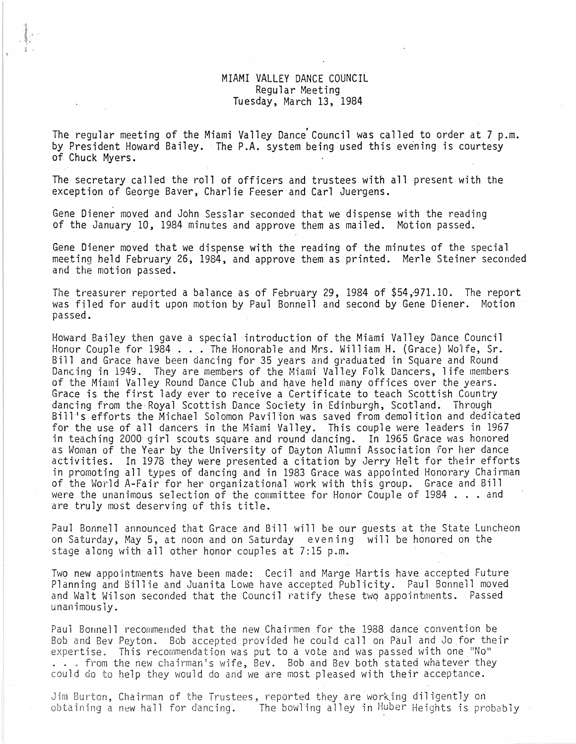## MIAMI VALLEY DANCE COUNCIL Regular Meeting Tuesday, March 13, 1984

The regular meeting of the Miami Valley Dance Council was called to order at 7 p.m. by President Howard Bailey. The P.A. system being used this evening is courtesy of Chuck Myers.

The secretary called the roll of officers and trustees with **all** present with the exception of George Baver, Charlie Feeser and Carl Juergens.

Gene Diener moved and John Sesslar seconded that we dispense with the reading of the January 10, 1984 minutes and approve them as mailed. Motion passed.

.f- <sup>c</sup> • •

> Gene Diener moved that we dispense with the reading of the minutes of the special meeting held February 26, 1984, and approve them as printed. Merle Steiner seconded and the motion passed.

> The treasurer reported a balance as of February 29, 1984 of  $$54,971.10$ . The report was filed for audit upon motion by Paul Bonnell and second by Gene Diener. Motion passed.

> Howard Bailey then gave a special 'introduction of the Miami Valley Dance Council Honor Couple for 1984 ... The Honorable and Mrs. William H. (Grace) Wolfe, Sr. Bill and Grace have been dancing for 35 years and graduated in Square and Round Dancing in 1949. They are members of the Miami Valley Folk Dancers, life members of the Miami Valley Round Dance Club and have held many offices over the years. Grace is the first lady ever to receive a Certificate to teach Scottish Country<br>dancing from the Royal Scottish Dance Society in Edinburgh, Scotland. Through Bill's efforts the Michael Solomon Pavilion was saved from demolition and dedicated for the use of all dancers in the Miami Valley. This couple were leaders in 1967 in teaching 2000'girl scouts square and round dancing. In 1965 Grace was honored as Woman of the Year by the University of Dayton Alumni Association for her dance activities. In 1978 they were presented a citation by Jerry Helt for their efforts in promoting all types of dancing and in 1983 Grace was appointed Honorary Chairman of the World A-Fair for her organizational work with this group. Grace and Bill<br>were the unanimous selection of the committee for Honor Couple of 1984 . . . and were the unanimous selection of the committee for Honor Couple of 1984 . . . and are truly most deserving of this title.

> Paul Bonnell announced that Grace and Bill will be our guests at the State Luncheon on Saturday, May 5, at noon and on Saturday evening will be honored on the stage along with all other honor couples at 7:15 p.m.

Two new appointments have been made: Cecil and Marge Hartis have accepted Future Planning and Billie and Juanita Lowe have accepted Publicity. Paul Bonnell moved and Walt Wilson seconded that the Council ratify these two appointments. Passed unanimously.

Paul Bonnell recommended that the new Chairmen for the 1988 dance convention be Bob and Bev Peyton. Bob accepted provided he could call on Paul and Jo for their<br>expertise. This recommendation was put to a vote and was passed with one "No" ... from the new chairman's wife, Bev. Bob and Bev both stated whatever they could do to help they would do and we are most pleased with their acceptance.

Jim Burton. Chairman of the Trustees. reported they are 'work.ing dil igently on obtaining a new hall for dancing. The bowling alley in Huber Heights is probably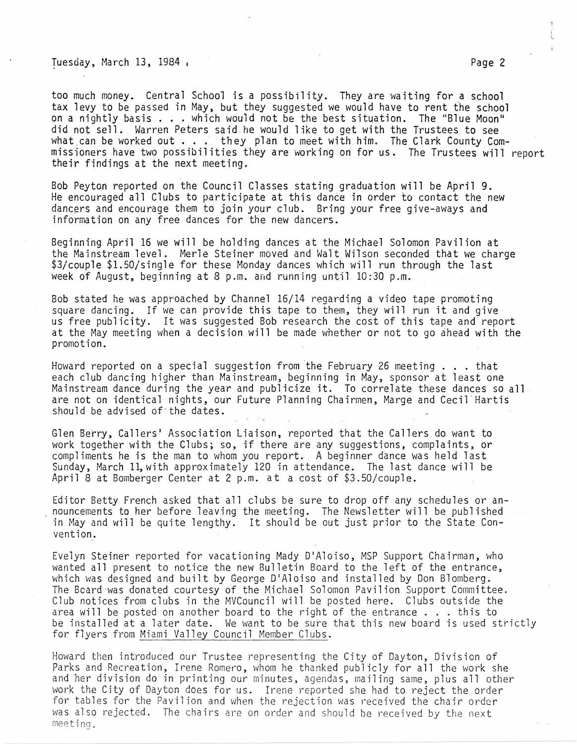Tuesday, March 13, 1984 , The Same Communication of the Page 2

too much money. Central School is a possibility. They are waiting for a school tax levy to be passed in May, but they suggested we would have to rent the school on a nightly basis .•. which would not be the best situation. The "Blue Moon" on a nightly basis . . . which would not be the best situation. The "Blue Moon"<br>did not sell. Warren Peters said he would like to get with the Trustees to see what can be worked out  $\cdot\cdot\cdot$  they plan to meet with him. The Clark County Commissioners have two possibilities they are working on for us. The Trustees will report their findings at the next meeting.

Bob Peyton reported on the Council Classes stating graduation will be April 9. He encouraged all Clubs to participate at this dance in order to contact the new dancers and encourage them to join your club. Bring your free give-aways and information on any free dances for the new dancers.

Beginning April 16 we will be holding dances at the Michael Solomon Pavilion at the Mainstream level. Merle Steiner moved and Walt Wilson seconded that we charge \$3/couple \$1.50/single for these Monday dances which will run through the last week of August, beginning at  $8$  p.m. and running until  $10:30$  p.m.

Bob stated he was approached by Channel 16/14 regarding a video tape promoting square dancing. If we can provide this tape to them, they will run it and give us free publicity. It was suggested Bob research the cost of this tape and report at the May meeting when a decision will be made whether or not to go ahead with the promotion.

Howard reported on a special suggestion from the February 26 meeting  $\ldots$  that each club dancing higher than Mainstream, beginning in May, sponsor at least one Mainstream dance during the year and publicjze it. To correlate these dances so all are not on identical nights, our Future Planning Chairmen, Marge and Cecil'Hartis should be advised of the dates.

Glen Berry, Callers' Association Liaison, reported that the Callers do want to work together with the Clubs; so, if there are any suggestions, complaints, or compliments he is the man to whom you report. A beginner dance was held last Sunday, March 11, with approximately 120 in attendance. The last dance will be April 8 at Bomberger Center at 2 p.m. at a cost of \$3.50/couple.

Editor Betty French asked that all clubs be sure to drop off any schedules or announcements to her before leaving the meeting. The Newsletter will be published in May and will be quite lengthy. It should be out just prior to the State Convention.

Evelyn Steiner reported for vacationing Mady D'Aloiso, MSP Support Chairman, who wanted all present to notice the new Bulletin Board to the left of the entrance, which was designed and built by George D'Aloiso and installed by Don Blomberg. The Beard 'was donated courtesy of the Michael Solomon Pavilion Support Committee. Club notices from clubs in the MVCouncil will be posted here. Clubs outside the area will be posted on another board to the right of the entrance ... this to area will be posted on another board to the right of the entrance . . . this to<br>be installed at a later date. We want to be sure that this new board is used strictly<br>for flyers from Miami Valley Council Member Clubs.

Howard then introduced our Trustee representing the City *of* Dayton, Division of Parks and Recreation, Irene Romero, whom he thanked publicly for all the work she and her division do in printing our minutes, agendas, mailing same, plus all other work the City of Dayton does for us. Irene reported she had to reject the order for tables for the Pavilion and when the rejection was received the chair order was also rejected. The chairs are on order and should be received by the next meeting.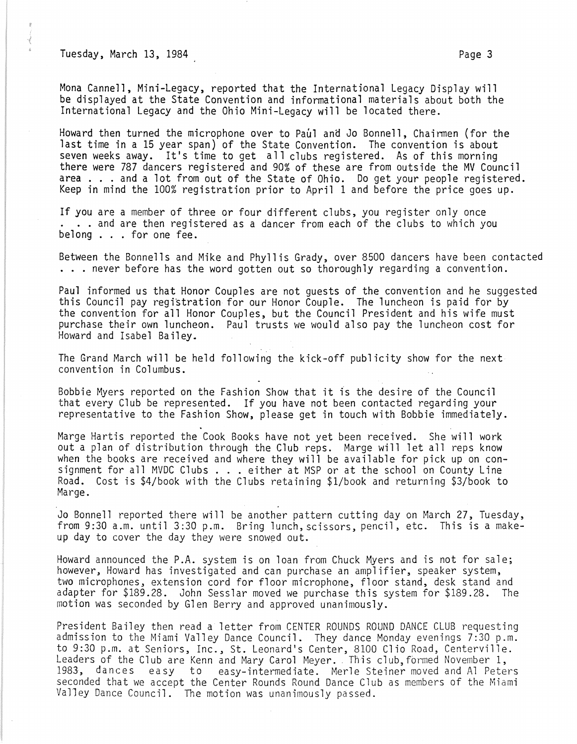Tuesday, March 13, 1984 **Page 3** 

Mona Cannell, Mini-Legacy, reported that the International Legacy Display will be displayed at the State Convention and informational materials about both the International Legacy and the Ohio Mini-Legacy will be located there.

Howard then turned the microphone over to Paul and Jo Bonnell, Chairmen (for the last time in a 15 year span) of the State Convention. The convention is about seven weeks away. It's time to get all clubs registered. As of this morning there were 787 dancers registered and 90% of these are from outside the MV Council area . . . and a lot from out of the State of Ohio. Do get your people registered. Keep in mind the 100% registration prior to April 1 and before the price goes up.

If you are a member of three or four different clubs, you register only once ... and are then registered as a dancer from each of the clubs to which you belong . . . for one fee.

Between the Bonnells and Mike and Phyllis Grady, over 8500 dancers have been contacted . .. never before has the word gotten out so thoroughly regarding a convention.

Paul informed us that Honor Couples are not guests of the convention and he suggested this Council pay registration for our Honor Couple. The luncheon is paid for by the convention for all Honor Couples, but the Council President and his wife must purchase their own luncheon. Paul trusts we would also pay the luncheon cost for Howard and Isabel Bailey.

The Grand March will be held following the kick-off publicity show for the next convention in Columbus.

Bobbie Myers reported on the Fashion Show that it is the desire of the Council that every Club be represented. If you have not been contacted regarding your representative to the Fashion Show, please get in touch with Bobbie immediately.

Marge Hartis reported the Cook Books have not yet been received. She will work out a plan of distribution through the Club reps. Marge will let all reps know when the books are received and where they will be available for pick up on consignment for all MVDC Clubs . . . either at MSP or at the school on County Line Road. Cost is \$4/book with the Clubs retaining \$1/book and returning \$3/book to Marge.

Jo Bonnell reported there will be another pattern cutting day on March 27, Tuesday, from 9:30 a.m. until 3:30 p.m. Bring lunch, scissors, pencil, etc. This is a makeup day to cover the day they were snowed out.

Howard announced the P.A. system is on loan from Chuck Myers and is not for sale; however, Howard has investigated and can purchase an amplifier, speaker system, two microphones, extension cord for floor microphone, floor stand, desk stand and adapter for \$189.28. John Sesslar moved we purchase this system for \$189.28. The motion was seconded by Glen Berry and approved unanimously.

President Bailey then read a letter from CENTER ROUNDS ROUND DANCE CLUB requesting admission to the Miami Valley Dance Council. They dance Monday evenings 7:30 p.m. to 9:30 p.m. at Seniors, Inc., St. Leonard's Center, 8100 Clio Road, Centerville. Leaders of the Club are Kenn and Mary Carol Meyer. This club, formed November 1, 1983, dances easy to easy-intermediate. Merle Steiner moved and Al Peters seconded that we accept the Center Rounds Round Dance Club as members of the Miami Valley Dance Council. The motion was unanimously passed.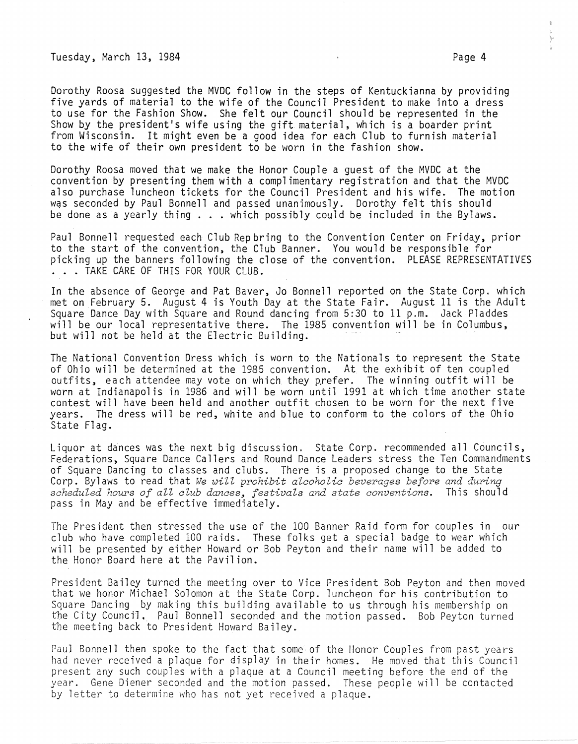Tuesday, March 13, 1984 Page 4

Dorothy Roosa suggested the MVDC follow in the steps of Kentuckianna by providing five yards of material to the wife of the Council President to make into a dress to use for the Fashion Show. She felt our Council should be represented in the Show by the president's wife using the gift material, which is a boarder print from Wisconsin. It might even be a good idea for each Club to furnish material to the wife of their own president to be worn in the fashion show.

Dorothy Roosa moved that we make the Honor Couple a guest of the MVDC at the convention by presenting them with a complimentary registration and that the MVDC also purchase luncheon tickets for the Council President and his wife. The motion was seconded by Paul Bonnell and passed unanimously. Dorothy felt this should be done as a yearly thing . . . which possibly could be included in the Bylaws.

Paul Bonnell requested each Club Repbring to the Convention Center on Friday, prior to the start of the convention, the Club Banner. You would be responsible for picking up the banners following the close of the convention. PLEASE REPRESENTATIVES<br>. . . TAKE CARE OF THIS FOR YOUR CLUB.

In the absence of George and Pat Baver, Jo Bonnell reported on the State Corp. which met on February 5. August 4 is Youth Day at the State Fair. August 11 is the Adult Square Dance Day with Square and Round dancing from 5:30 to 11 p.m. Jack Pladdes will be our local representative there. The 1985 convention will be in Columbus, but will not be held at the Electric Building.

The National Convention Dress which is worn to the Nationals to represent the State of Ohio will be determined at the 1985 convention. At the exhibit of ten coupled outfits, each attendee may vote on which they prefer. The winning outfit will be worn at Indianapolis in 1986 and will be worn until 1991 at which time another state contest will have been held and another outfit chosen to be worn for the next five years. The dress will be red, white and blue to conform to the colors of the Ohio State Flag.

Liquor at dances was the next big discussion. State Corp. recommended all Councils, Federations, Square Dance Callers and Round Dance Leaders stress the Ten Commandments of Square Dancing to classes and clubs. There is a proposed change to the State Corp. Bylaws to read that *We will prohibit alcoholic beverages before and during scheduled hours of aZl club* dances~ *festivals and state conventions.* This should pass in May and be effective immediately.

The President then stressed the use of the 100 Banner Raid form for couples in our club who have completed 100 raids. These folks get a special badge to wear which will be presented by either Howard or Bob Peyton and their name will be added to the Honor Board here at the Pavilion.

President Bailey turned the meeting over to Vice President Bob Peyton and then moved that we honor Michael Solomon at the State Corp. luncheon for his contribution to Square Dancing by making this building available to us through his membership on the City Council. Paul Bonnell seconded and the motion passed. Bob Peyton turned the meeting back to President Howard Bailey.

Paul Bonnell then spoke to the fact that some of the Honor Couples from past years had never received a plaque for display in their homes. He moved that this Council present any such couples with a plaque at a Council meeting before the end of the year. Gene Diener seconded and the motion passed. These people will be contacted by letter to determine who has not yet received a plaque.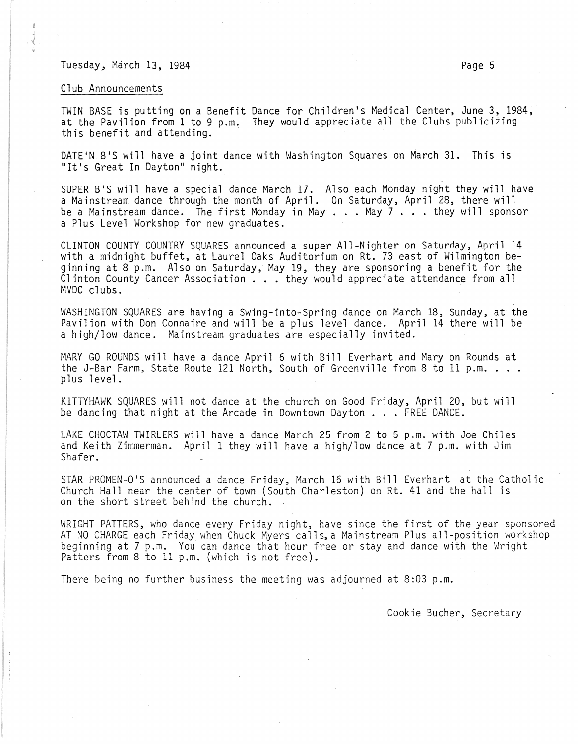## Tuesday, March 13, 1984 **Page 12, 1986** Page 5

## Club Announcements

TWIN BASE is putting on a Benefit Dance for Children's Medical Center, June 3, 1984, at the Pavilion from 1 to 9 p.m. They would appreciate all the Clubs publicizing this benefit and attending.

DATE'N 8'S will have a joint dance with Washington Squares on March 31. This is "It's Great In Dayton" night.

SUPER B'S will have a special dance March 17. Also each Monday night they will have a Mainstream dance through the month of April. On Saturday, April 28, there will<br>be a Mainstream dance. The first Monday in May ... May 7 ... they will sponsor a Plus Level Workshop for new graduates.

CLINTON COUNTY COUNTRY SQUARES announced a super All-Nighter on Saturday, April 14 with a midnight buffet, at Laurel Oaks Auditorium on Rt. 73 east of Wilmington beginning at 8 p.m. Also on Saturday, May 19, they are sponsoring a benefit for the Clinton County Cancer Association  $\ldots$  they would appreciate attendance from all MVDC clubs.

WASHINGTON SQUARES are having a Swing-into-Spring dance on March 18, Sunday, at the Pavilion with Don Connaire and will be a plus level dance. April 14 there will be a high/low dance. Mainstream graduates are especially invited.

MARY GO ROUNDS will have a dance April 6 with Bill Everhart and Mary on Rounds at<br>the J-Bar Farm, State Route 121 North, South of Greenville from 8 to 11 p.m. . . .<br>plus level.

KITTYHAWK SQUARES will not dance at the church on Good Friday, April 20, but will be dancing that night at the Arcade in Downtown Dayton ... FREE DANCE.

LAKE CHOCTAW TWIRLERS will have a dance March 25 from 2 to 5 p.m. with Joe Chiles and Keith Zimmerman. April 1 they will have a high/low dance at 7 p.m. with Jim Shafer.

STAR PROMEN-O'S announced a dance Friday, March 16 with Bill Everhart at the Catholic Church Hall near the center of town (South Charleston) on Rt. 41 and the hall is on the short street behind the church.

WRIGHT PATTERS, who dance every Friday night, have since the first of the year sponsored<br>AT NO CHARGE each Friday when Chuck Myers calls,a Mainstream Plus all-position workshop beginning at 7 p.m. You can dance that hour free or stay and dance with the Wright Patters from 8 to 11 p.m. (which is not free).

There being no further business the meeting was adjourned at 8:03 p.m.

Cookie Bucher, Secretary